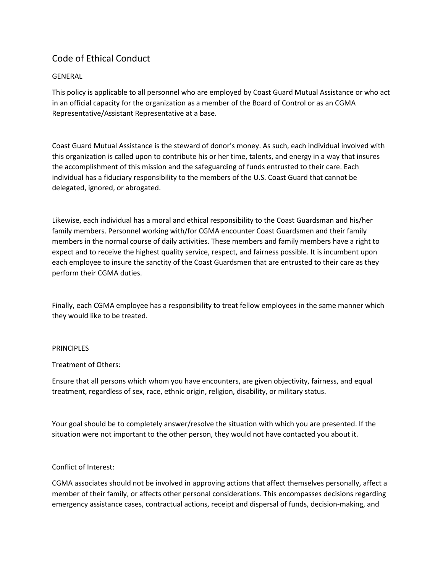# Code of Ethical Conduct

# GENERAL

This policy is applicable to all personnel who are employed by Coast Guard Mutual Assistance or who act in an official capacity for the organization as a member of the Board of Control or as an CGMA Representative/Assistant Representative at a base.

Coast Guard Mutual Assistance is the steward of donor's money. As such, each individual involved with this organization is called upon to contribute his or her time, talents, and energy in a way that insures the accomplishment of this mission and the safeguarding of funds entrusted to their care. Each individual has a fiduciary responsibility to the members of the U.S. Coast Guard that cannot be delegated, ignored, or abrogated.

Likewise, each individual has a moral and ethical responsibility to the Coast Guardsman and his/her family members. Personnel working with/for CGMA encounter Coast Guardsmen and their family members in the normal course of daily activities. These members and family members have a right to expect and to receive the highest quality service, respect, and fairness possible. It is incumbent upon each employee to insure the sanctity of the Coast Guardsmen that are entrusted to their care as they perform their CGMA duties.

Finally, each CGMA employee has a responsibility to treat fellow employees in the same manner which they would like to be treated.

#### PRINCIPLES

### Treatment of Others:

Ensure that all persons which whom you have encounters, are given objectivity, fairness, and equal treatment, regardless of sex, race, ethnic origin, religion, disability, or military status.

Your goal should be to completely answer/resolve the situation with which you are presented. If the situation were not important to the other person, they would not have contacted you about it.

### Conflict of Interest:

CGMA associates should not be involved in approving actions that affect themselves personally, affect a member of their family, or affects other personal considerations. This encompasses decisions regarding emergency assistance cases, contractual actions, receipt and dispersal of funds, decision-making, and